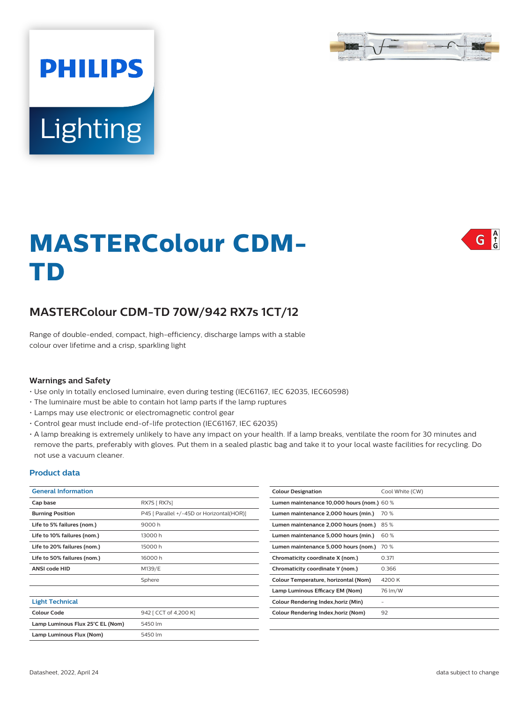

# **Lighting**

**PHILIPS** 

# $\int_{G}^{A}$ G

# **MASTERColour CDM-TD**

# **MASTERColour CDM-TD 70W/942 RX7s 1CT/12**

Range of double-ended, compact, high-efficiency, discharge lamps with a stable colour over lifetime and a crisp, sparkling light

### **Warnings and Safety**

- Use only in totally enclosed luminaire, even during testing (IEC61167, IEC 62035, IEC60598)
- The luminaire must be able to contain hot lamp parts if the lamp ruptures
- Lamps may use electronic or electromagnetic control gear
- Control gear must include end-of-life protection (IEC61167, IEC 62035)
- A lamp breaking is extremely unlikely to have any impact on your health. If a lamp breaks, ventilate the room for 30 minutes and remove the parts, preferably with gloves. Put them in a sealed plastic bag and take it to your local waste facilities for recycling. Do not use a vacuum cleaner.

### **Product data**

| <b>General Information</b>       |                                           | <b>Colour Designation</b>                  | Cool White (CW)          |
|----------------------------------|-------------------------------------------|--------------------------------------------|--------------------------|
| Cap base                         | RX7S [ RX7s]                              | Lumen maintenance 10,000 hours (nom.) 60 % |                          |
| <b>Burning Position</b>          | P45 [ Parallel +/-45D or Horizontal(HOR)] | Lumen maintenance 2,000 hours (min.)       | 70 %                     |
| Life to 5% failures (nom.)       | 9000h                                     | Lumen maintenance 2,000 hours (nom.) 85 %  |                          |
| Life to 10% failures (nom.)      | 13000h                                    | Lumen maintenance 5,000 hours (min.)       | 60%                      |
| Life to 20% failures (nom.)      | 15000h                                    | Lumen maintenance 5,000 hours (nom.) 70 %  |                          |
| Life to 50% failures (nom.)      | 16000h                                    | Chromaticity coordinate X (nom.)           | 0.371                    |
| <b>ANSI code HID</b>             | M139/E                                    | Chromaticity coordinate Y (nom.)           | 0.366                    |
|                                  | Sphere                                    | Colour Temperature, horizontal (Nom)       | 4200 K                   |
|                                  |                                           | Lamp Luminous Efficacy EM (Nom)            | 76 lm/W                  |
| Light Technical                  |                                           | Colour Rendering Index, horiz (Min)        | $\overline{\phantom{a}}$ |
| <b>Colour Code</b>               | 942 [ CCT of 4,200 K]                     | Colour Rendering Index, horiz (Nom)        | 92                       |
| Lamp Luminous Flux 25°C EL (Nom) | 5450 lm                                   |                                            |                          |
| Lamp Luminous Flux (Nom)         | 5450 lm                                   |                                            |                          |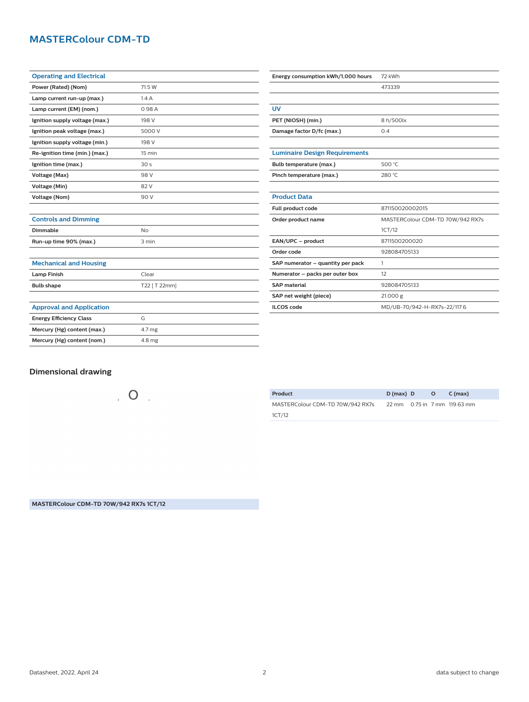# **MASTERColour CDM-TD**

| <b>Operating and Electrical</b> |                 |  |  |  |  |
|---------------------------------|-----------------|--|--|--|--|
| Power (Rated) (Nom)             | 71.5 W          |  |  |  |  |
| Lamp current run-up (max.)      | 1.4A            |  |  |  |  |
| Lamp current (EM) (nom.)        | 0.98A           |  |  |  |  |
| Ignition supply voltage (max.)  | 198 V           |  |  |  |  |
| Ignition peak voltage (max.)    | 5000 V          |  |  |  |  |
| Ignition supply voltage (min.)  | 198 V           |  |  |  |  |
| Re-ignition time (min.) (max.)  | 15 min          |  |  |  |  |
| Ignition time (max.)            | 30 <sub>s</sub> |  |  |  |  |
| Voltage (Max)                   | 98 V            |  |  |  |  |
| Voltage (Min)                   | 82 V            |  |  |  |  |
| <b>Voltage (Nom)</b>            | 90 V            |  |  |  |  |
|                                 |                 |  |  |  |  |
| <b>Controls and Dimming</b>     |                 |  |  |  |  |
| <b>Dimmable</b>                 | N <sub>o</sub>  |  |  |  |  |
| Run-up time 90% (max.)          | 3 min           |  |  |  |  |
|                                 |                 |  |  |  |  |
| <b>Mechanical and Housing</b>   |                 |  |  |  |  |
| <b>Lamp Finish</b>              | Clear           |  |  |  |  |
| <b>Bulb shape</b>               | T22 [ T 22mm]   |  |  |  |  |
|                                 |                 |  |  |  |  |
| <b>Approval and Application</b> |                 |  |  |  |  |
| <b>Energy Efficiency Class</b>  | G               |  |  |  |  |
| Mercury (Hg) content (max.)     | 4.7 mg          |  |  |  |  |
| Mercury (Hg) content (nom.)     | 4.8 mg          |  |  |  |  |

| Energy consumption kWh/1,000 hours   | 72 kWh                           |  |  |  |  |
|--------------------------------------|----------------------------------|--|--|--|--|
|                                      | 473339                           |  |  |  |  |
|                                      |                                  |  |  |  |  |
| <b>UV</b>                            |                                  |  |  |  |  |
| PET (NIOSH) (min.)                   | 8 h/500lx                        |  |  |  |  |
| Damage factor D/fc (max.)            | 0.4                              |  |  |  |  |
|                                      |                                  |  |  |  |  |
| <b>Luminaire Design Requirements</b> |                                  |  |  |  |  |
| Bulb temperature (max.)              | 500 °C                           |  |  |  |  |
| Pinch temperature (max.)             | 280 °C                           |  |  |  |  |
|                                      |                                  |  |  |  |  |
| <b>Product Data</b>                  |                                  |  |  |  |  |
| Full product code                    | 871150020002015                  |  |  |  |  |
| Order product name                   | MASTERColour CDM-TD 70W/942 RX7s |  |  |  |  |
|                                      | 1CT/12                           |  |  |  |  |
| EAN/UPC - product                    | 8711500200020                    |  |  |  |  |
| Order code                           | 928084705133                     |  |  |  |  |
| SAP numerator - quantity per pack    | 1                                |  |  |  |  |
| Numerator - packs per outer box      | 12                               |  |  |  |  |
| <b>SAP</b> material                  | 928084705133                     |  |  |  |  |
| SAP net weight (piece)               | 21.000 g                         |  |  |  |  |
| <b>ILCOS</b> code                    | MD/UB-70/942-H-RX7s-22/117.6     |  |  |  |  |

## **Dimensional drawing**

 $\overline{O}$ 

| Product                          | D (max) D | $\overline{\phantom{a}}$ | C (max)                      |
|----------------------------------|-----------|--------------------------|------------------------------|
| MASTERColour CDM-TD 70W/942 RX7s |           |                          | 22 mm 0.75 in 7 mm 119.63 mm |
| 1CT/12                           |           |                          |                              |

**MASTERColour CDM-TD 70W/942 RX7s 1CT/12**